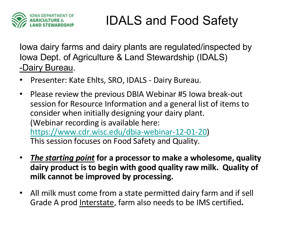

#### IDALS and Food Safety

Iowa dairy farms and dairy plants are regulated/inspected by Iowa Dept. of Agriculture & Land Stewardship (IDALS) -Dairy Bureau.

- Presenter: Kate Ehlts, SRO, IDALS Dairy Bureau.
- Please review the previous DBIA Webinar #5 Iowa break-out session for Resource Information and a general list of items to consider when initially designing your dairy plant. (Webinar recording is available here: <https://www.cdr.wisc.edu/dbia-webinar-12-01-20>) This session focuses on Food Safety and Quality.
- *The starting point* **for a processor to make a wholesome, quality dairy product is to begin with good quality raw milk. Quality of milk cannot be improved by processing.**
- All milk must come from a state permitted dairy farm and if sell Grade A prod Interstate, farm also needs to be IMS certified**.**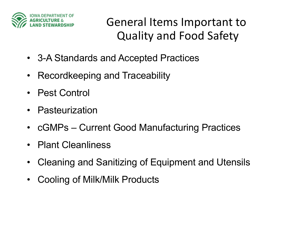

General Items Important to Quality and Food Safety

- 3-A Standards and Accepted Practices
- Recordkeeping and Traceability
- Pest Control
- Pasteurization
- cGMPs Current Good Manufacturing Practices
- Plant Cleanliness
- Cleaning and Sanitizing of Equipment and Utensils
- Cooling of Milk/Milk Products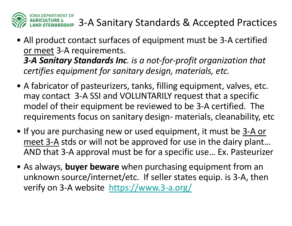

- All product contact surfaces of equipment must be 3-A certified or meet 3-A requirements. *3-A Sanitary Standards Inc. is a not-for-profit organization that certifies equipment for sanitary design, materials, etc.*
- A fabricator of pasteurizers, tanks, filling equipment, valves, etc. may contact 3-A SSI and VOLUNTARILY request that a specific model of their equipment be reviewed to be 3-A certified. The requirements focus on sanitary design- materials, cleanability, etc
- If you are purchasing new or used equipment, it must be 3-A or meet 3-A stds or will not be approved for use in the dairy plant… AND that 3-A approval must be for a specific use… Ex. Pasteurizer
- As always, **buyer beware** when purchasing equipment from an unknown source/internet/etc. If seller states equip. is 3-A, then verify on 3-A websit[e https://www.3-a.org](https://www.3-a.org/)/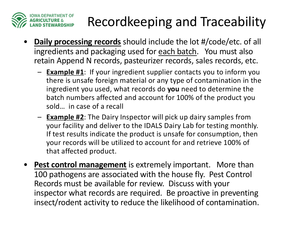

# Recordkeeping and Traceability

- **Daily processing records** should include the lot #/code/etc. of all ingredients and packaging used for each batch. You must also retain Append N records, pasteurizer records, sales records, etc.
	- **Example #1**: If your ingredient supplier contacts you to inform you there is unsafe foreign material or any type of contamination in the ingredient you used, what records do **you** need to determine the batch numbers affected and account for 100% of the product you sold… in case of a recall
	- **Example #2**: The Dairy Inspector will pick up dairy samples from your facility and deliver to the IDALS Dairy Lab for testing monthly. If test results indicate the product is unsafe for consumption, then your records will be utilized to account for and retrieve 100% of that affected product.
- **Pest control management** is extremely important. More than 100 pathogens are associated with the house fly. Pest Control Records must be available for review. Discuss with your inspector what records are required. Be proactive in preventing insect/rodent activity to reduce the likelihood of contamination.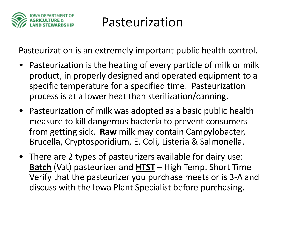

### Pasteurization

Pasteurization is an extremely important public health control.

- Pasteurization is the heating of every particle of milk or milk product, in properly designed and operated equipment to a specific temperature for a specified time. Pasteurization process is at a lower heat than sterilization/canning.
- Pasteurization of milk was adopted as a basic public health measure to kill dangerous bacteria to prevent consumers from getting sick. **Raw** milk may contain Campylobacter, Brucella, Cryptosporidium, E. Coli, Listeria & Salmonella.
- There are 2 types of pasteurizers available for dairy use: **Batch** (Vat) pasteurizer and **HTST** – High Temp. Short Time Verify that the pasteurizer you purchase meets or is 3-A and discuss with the Iowa Plant Specialist before purchasing.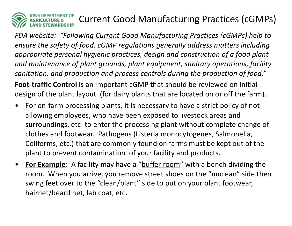

### Current Good Manufacturing Practices (cGMPs)

*FDA website: "Following Current Good Manufacturing Practices (cGMPs) help to ensure the safety of food. cGMP regulations generally address matters including appropriate personal hygienic practices, design and construction of a food plant and maintenance of plant grounds, plant equipment, sanitary operations, facility sanitation, and production and process controls during the production of food."*

**Foot-traffic Control** is an important cGMP that should be reviewed on initial design of the plant layout (for dairy plants that are located on or off the farm).

- For on-farm processing plants, it is necessary to have a strict policy of not allowing employees, who have been exposed to livestock areas and surroundings, etc. to enter the processing plant without complete change of clothes and footwear. Pathogens (Listeria monocytogenes, Salmonella, Coliforms, etc.) that are commonly found on farms must be kept out of the plant to prevent contamination of your facility and products.
- **For Example**: A facility may have a "buffer room" with a bench dividing the room. When you arrive, you remove street shoes on the "unclean" side then swing feet over to the "clean/plant" side to put on your plant footwear, hairnet/beard net, lab coat, etc.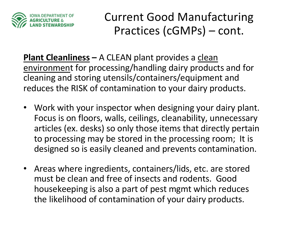

Current Good Manufacturing Practices (cGMPs) – cont.

**Plant Cleanliness – A CLEAN plant provides a clean** environment for processing/handling dairy products and for cleaning and storing utensils/containers/equipment and reduces the RISK of contamination to your dairy products.

- Work with your inspector when designing your dairy plant. Focus is on floors, walls, ceilings, cleanability, unnecessary articles (ex. desks) so only those items that directly pertain to processing may be stored in the processing room; It is designed so is easily cleaned and prevents contamination.
- Areas where ingredients, containers/lids, etc. are stored must be clean and free of insects and rodents. Good housekeeping is also a part of pest mgmt which reduces the likelihood of contamination of your dairy products.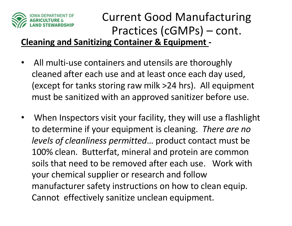

## Current Good Manufacturing Practices (cGMPs) – cont.

**Cleaning and Sanitizing Container & Equipment -**

- All multi-use containers and utensils are thoroughly cleaned after each use and at least once each day used, (except for tanks storing raw milk >24 hrs). All equipment must be sanitized with an approved sanitizer before use.
- When Inspectors visit your facility, they will use a flashlight to determine if your equipment is cleaning. *There are no levels of cleanliness permitted*… product contact must be 100% clean. Butterfat, mineral and protein are common soils that need to be removed after each use. Work with your chemical supplier or research and follow manufacturer safety instructions on how to clean equip. Cannot effectively sanitize unclean equipment.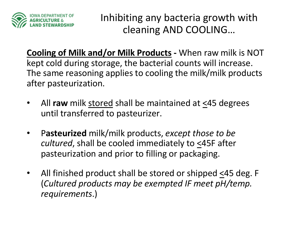

Inhibiting any bacteria growth with cleaning AND COOLING…

**Cooling of Milk and/or Milk Products -** When raw milk is NOT kept cold during storage, the bacterial counts will increase. The same reasoning applies to cooling the milk/milk products after pasteurization.

- All **raw** milk stored shall be maintained at <45 degrees until transferred to pasteurizer.
- P**asteurized** milk/milk products, *except those to be cultured*, shall be cooled immediately to <45F after pasteurization and prior to filling or packaging.
- All finished product shall be stored or shipped <45 deg. F (*Cultured products may be exempted IF meet pH/temp. requirements*.)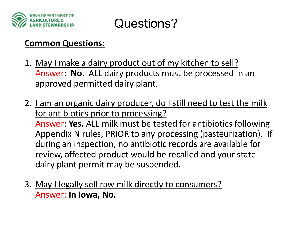



#### **Common Questions:**

- 1. May I make a dairy product out of my kitchen to sell? Answer: **No**. ALL dairy products must be processed in an approved permitted dairy plant.
- 2. I am an organic dairy producer, do I still need to test the milk for antibiotics prior to processing?

Answer: **Yes.** ALL milk must be tested for antibiotics following Appendix N rules, PRIOR to any processing (pasteurization). If during an inspection, no antibiotic records are available for review, affected product would be recalled and your state dairy plant permit may be suspended.

3. May I legally sell raw milk directly to consumers? Answer: **In Iowa, No.**